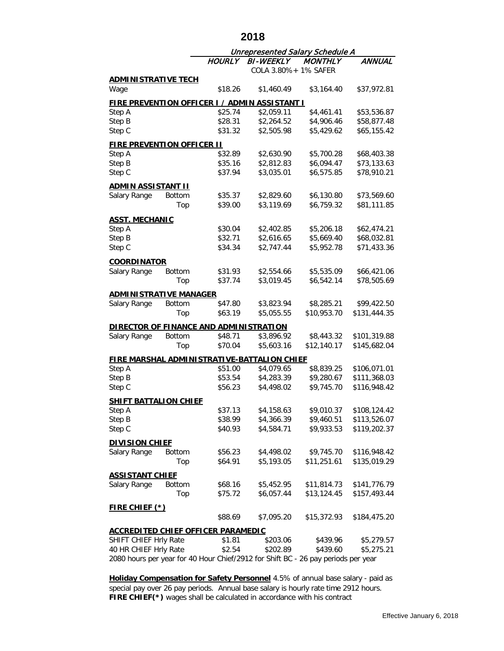## **2018**

|                                           |               | Unrepresented Salary Schedule A |                                                                                   |                          |                              |  |
|-------------------------------------------|---------------|---------------------------------|-----------------------------------------------------------------------------------|--------------------------|------------------------------|--|
|                                           |               | <i><b>HOURLY</b></i>            | <b>BI-WEEKLY</b>                                                                  | <b>MONTHLY</b>           | ANNUAL                       |  |
|                                           |               |                                 | COLA 3.80%+ 1% SAFER                                                              |                          |                              |  |
| <b>ADMINISTRATIVE TECH</b>                |               |                                 |                                                                                   |                          |                              |  |
| Wage                                      |               | \$18.26                         | \$1,460.49                                                                        | \$3,164.40               | \$37,972.81                  |  |
|                                           |               |                                 | <b>FIRE PREVENTION OFFICER I / ADMIN ASSISTANT I</b>                              |                          |                              |  |
| Step A                                    |               | \$25.74                         | \$2,059.11                                                                        | \$4,461.41               | \$53,536.87                  |  |
| Step B                                    |               | \$28.31                         | \$2,264.52                                                                        | \$4,906.46               | \$58,877.48                  |  |
| Step C                                    |               | \$31.32                         | \$2,505.98                                                                        | \$5,429.62               | \$65,155.42                  |  |
|                                           |               |                                 |                                                                                   |                          |                              |  |
| <b>FIRE PREVENTION OFFICER II</b>         |               |                                 |                                                                                   |                          |                              |  |
| Step A                                    |               | \$32.89                         | \$2,630.90                                                                        | \$5,700.28               | \$68,403.38                  |  |
| Step B<br>Step C                          |               | \$35.16                         | \$2,812.83<br>\$3,035.01                                                          | \$6,094.47<br>\$6,575.85 | \$73,133.63                  |  |
|                                           |               | \$37.94                         |                                                                                   |                          | \$78,910.21                  |  |
| <u>ADMIN ASSISTANT II</u>                 |               |                                 |                                                                                   |                          |                              |  |
| Salary Range                              | <b>Bottom</b> | \$35.37                         | \$2,829.60                                                                        | \$6,130.80               | \$73,569.60                  |  |
|                                           | Top           | \$39.00                         | \$3,119.69                                                                        | \$6,759.32               | \$81,111.85                  |  |
| <b>ASST. MECHANIC</b>                     |               |                                 |                                                                                   |                          |                              |  |
| Step A                                    |               | \$30.04                         | \$2,402.85                                                                        | \$5,206.18               | \$62,474.21                  |  |
| Step B                                    |               | \$32.71                         | \$2,616.65                                                                        | \$5,669.40               | \$68,032.81                  |  |
| Step C                                    |               | \$34.34                         | \$2,747.44                                                                        | \$5,952.78               | \$71,433.36                  |  |
|                                           |               |                                 |                                                                                   |                          |                              |  |
| <b>COORDINATOR</b>                        |               |                                 |                                                                                   |                          |                              |  |
| Salary Range                              | <b>Bottom</b> | \$31.93                         | \$2,554.66                                                                        | \$5,535.09               | \$66,421.06                  |  |
|                                           | Top           | \$37.74                         | \$3,019.45                                                                        | \$6,542.14               | \$78,505.69                  |  |
| <b>ADMINISTRATIVE MANAGER</b>             |               |                                 |                                                                                   |                          |                              |  |
| Salary Range                              | <b>Bottom</b> | \$47.80                         | \$3,823.94                                                                        | \$8,285.21               | \$99,422.50                  |  |
|                                           | Top           | \$63.19                         | \$5,055.55                                                                        | \$10,953.70              | \$131,444.35                 |  |
| DIRECTOR OF FINANCE AND ADMINISTRATION    |               |                                 |                                                                                   |                          |                              |  |
| Salary Range                              | <b>Bottom</b> | \$48.71                         | \$3,896.92                                                                        | \$8,443.32               | \$101,319.88                 |  |
|                                           | Top           | \$70.04                         | \$5,603.16                                                                        | \$12,140.17              | \$145,682.04                 |  |
|                                           |               |                                 |                                                                                   |                          |                              |  |
|                                           |               |                                 | <b>FIRE MARSHAL ADMINISTRATIVE-BATTALION CHIEF</b>                                |                          |                              |  |
| Step A                                    |               | \$51.00                         | \$4,079.65                                                                        | \$8,839.25               | \$106,071.01                 |  |
| Step B                                    |               | \$53.54                         | \$4,283.39                                                                        | \$9,280.67               | \$111,368.03                 |  |
| Step C                                    |               | \$56.23                         | \$4,498.02                                                                        | \$9,745.70               | \$116,948.42                 |  |
| SHIFT BATTALION CHIEF                     |               |                                 |                                                                                   |                          |                              |  |
| Step A                                    |               | \$37.13                         | \$4,158.63                                                                        | \$9,010.37               | \$108,124.42                 |  |
| Step B                                    |               | \$38.99                         | \$4,366.39                                                                        | \$9,460.51               | \$113,526.07                 |  |
| Step C                                    |               | \$40.93                         | \$4,584.71                                                                        | \$9,933.53               | \$119,202.37                 |  |
| <b>DIVISION CHIEF</b>                     |               |                                 |                                                                                   |                          |                              |  |
| Salary Range                              | <b>Bottom</b> | \$56.23                         | \$4,498.02                                                                        | \$9,745.70               | \$116,948.42                 |  |
|                                           | Top           | \$64.91                         | \$5,193.05                                                                        | \$11,251.61              | \$135,019.29                 |  |
|                                           |               |                                 |                                                                                   |                          |                              |  |
| <b>ASSISTANT CHIEF</b>                    |               |                                 |                                                                                   |                          |                              |  |
| Salary Range                              | <b>Bottom</b> | \$68.16                         | \$5,452.95                                                                        | \$11,814.73              | \$141,776.79<br>\$157,493.44 |  |
|                                           | Top           | \$75.72                         | \$6,057.44                                                                        | \$13,124.45              |                              |  |
| <b>FIRE CHIEF (*)</b>                     |               |                                 |                                                                                   |                          |                              |  |
|                                           |               | \$88.69                         | \$7,095.20                                                                        | \$15,372.93              | \$184,475.20                 |  |
| <b>ACCREDITED CHIEF OFFICER PARAMEDIC</b> |               |                                 |                                                                                   |                          |                              |  |
| SHIFT CHIEF Hrly Rate                     |               | \$1.81                          | \$203.06                                                                          | \$439.96                 | \$5,279.57                   |  |
| 40 HR CHIEF Hrly Rate                     |               | \$2.54                          | \$202.89                                                                          | \$439.60                 | \$5,275.21                   |  |
|                                           |               |                                 | 2080 hours per year for 40 Hour Chief/2912 for Shift BC - 26 pay periods per year |                          |                              |  |

**FIRE CHIEF(\*)** wages shall be calculated in accordance with his contract **Holiday Compensation for Safety Personnel** 4.5% of annual base salary - paid as special pay over 26 pay periods. Annual base salary is hourly rate time 2912 hours.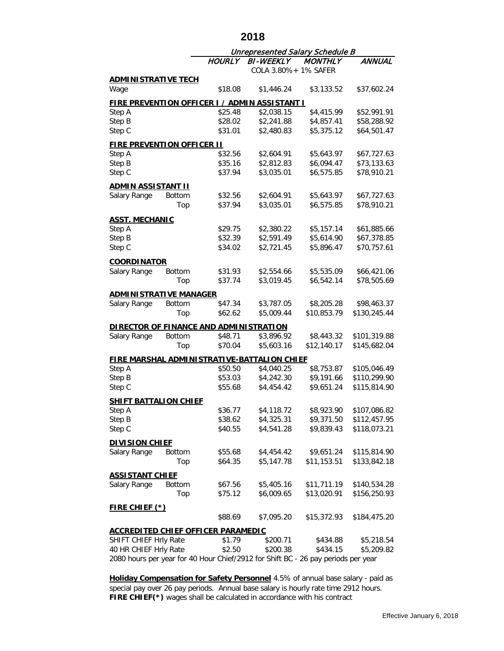## **2018**

|                                           | <b>Unrepresented Salary Schedule B</b> |                    |                                                                                   |                |              |  |
|-------------------------------------------|----------------------------------------|--------------------|-----------------------------------------------------------------------------------|----------------|--------------|--|
|                                           |                                        | <b>HOURLY</b>      | <b>BI-WEEKLY</b>                                                                  | <b>MONTHLY</b> | ANNUAL       |  |
|                                           |                                        |                    | COLA 3.80% + 1% SAFER                                                             |                |              |  |
| <b>ADMINISTRATIVE TECH</b>                |                                        |                    |                                                                                   |                |              |  |
| Wage                                      |                                        | \$18.08            | \$1,446.24                                                                        | \$3,133.52     | \$37,602.24  |  |
|                                           |                                        |                    | <b>FIRE PREVENTION OFFICER I / ADMIN ASSISTANT I</b>                              |                |              |  |
| Step A                                    |                                        | \$25.48            | \$2,038.15                                                                        | \$4,415.99     | \$52,991.91  |  |
| Step B                                    |                                        | \$28.02            | \$2,241.88                                                                        | \$4,857.41     | \$58,288.92  |  |
| Step C                                    |                                        | \$31.01            | \$2,480.83                                                                        | \$5,375.12     | \$64,501.47  |  |
|                                           |                                        |                    |                                                                                   |                |              |  |
| <b>FIRE PREVENTION OFFICER II</b>         |                                        |                    |                                                                                   |                |              |  |
| Step A                                    |                                        | \$32.56            | \$2,604.91                                                                        | \$5,643.97     | \$67,727.63  |  |
| Step B<br>Step C                          |                                        | \$35.16<br>\$37.94 | \$2,812.83<br>\$3,035.01                                                          | \$6,094.47     | \$73,133.63  |  |
|                                           |                                        |                    |                                                                                   | \$6,575.85     | \$78,910.21  |  |
| <u>ADMIN ASSISTANT II</u>                 |                                        |                    |                                                                                   |                |              |  |
| Salary Range                              | <b>Bottom</b>                          | \$32.56            | \$2,604.91                                                                        | \$5,643.97     | \$67,727.63  |  |
|                                           | Top                                    | \$37.94            | \$3,035.01                                                                        | \$6,575.85     | \$78,910.21  |  |
| <b>ASST. MECHANIC</b>                     |                                        |                    |                                                                                   |                |              |  |
| Step A                                    |                                        | \$29.75            | \$2,380.22                                                                        | \$5,157.14     | \$61,885.66  |  |
| Step B                                    |                                        | \$32.39            | \$2,591.49                                                                        | \$5,614.90     | \$67,378.85  |  |
| Step C                                    |                                        | \$34.02            | \$2,721.45                                                                        | \$5,896.47     | \$70,757.61  |  |
|                                           |                                        |                    |                                                                                   |                |              |  |
| <b>COORDINATOR</b>                        |                                        |                    |                                                                                   |                |              |  |
| Salary Range                              | <b>Bottom</b>                          | \$31.93            | \$2,554.66                                                                        | \$5,535.09     | \$66,421.06  |  |
|                                           | Top                                    | \$37.74            | \$3,019.45                                                                        | \$6,542.14     | \$78,505.69  |  |
| <b>ADMINISTRATIVE MANAGER</b>             |                                        |                    |                                                                                   |                |              |  |
| Salary Range                              | <b>Bottom</b>                          | \$47.34            | \$3,787.05                                                                        | \$8,205.28     | \$98,463.37  |  |
|                                           | Top                                    | \$62.62            | \$5,009.44                                                                        | \$10,853.79    | \$130,245.44 |  |
| DIRECTOR OF FINANCE AND ADMINISTRATION    |                                        |                    |                                                                                   |                |              |  |
| Salary Range                              | <b>Bottom</b>                          | \$48.71            | \$3,896.92                                                                        | \$8,443.32     | \$101,319.88 |  |
|                                           | Top                                    | \$70.04            | \$5,603.16                                                                        | \$12,140.17    | \$145,682.04 |  |
|                                           |                                        |                    |                                                                                   |                |              |  |
| FIRE MARSHAL ADMINISTRATIVE-BATT          |                                        |                    | <u> FALION CHIEF</u>                                                              |                |              |  |
| Step A                                    |                                        | \$50.50            | \$4,040.25                                                                        | \$8,753.87     | \$105,046.49 |  |
| Step B                                    |                                        | \$53.03            | \$4,242.30                                                                        | \$9,191.66     | \$110,299.90 |  |
| Step C                                    |                                        | \$55.68            | \$4,454.42                                                                        | \$9,651.24     | \$115,814.90 |  |
| <b>SHIFT BATTALION CHIEF</b>              |                                        |                    |                                                                                   |                |              |  |
| Step A                                    |                                        | \$36.77            | \$4,118.72                                                                        | \$8,923.90     | \$107,086.82 |  |
| Step B                                    |                                        | \$38.62            | \$4,325.31                                                                        | \$9,371.50     | \$112,457.95 |  |
| Step C                                    |                                        | \$40.55            | \$4,541.28                                                                        | \$9,839.43     | \$118,073.21 |  |
| <b>DIVISION CHIEF</b>                     |                                        |                    |                                                                                   |                |              |  |
| Salary Range                              | <b>Bottom</b>                          | \$55.68            | \$4,454.42                                                                        | \$9,651.24     | \$115,814.90 |  |
|                                           | Top                                    | \$64.35            | \$5,147.78                                                                        | \$11,153.51    | \$133,842.18 |  |
|                                           |                                        |                    |                                                                                   |                |              |  |
| <b>ASSISTANT CHIEF</b>                    |                                        |                    |                                                                                   |                |              |  |
| Salary Range                              | <b>Bottom</b>                          | \$67.56            | \$5,405.16                                                                        | \$11,711.19    | \$140,534.28 |  |
|                                           | Top                                    | \$75.12            | \$6,009.65                                                                        | \$13,020.91    | \$156,250.93 |  |
| <u>FIRE CHIEF (*)</u>                     |                                        |                    |                                                                                   |                |              |  |
|                                           |                                        | \$88.69            | \$7,095.20                                                                        | \$15,372.93    | \$184,475.20 |  |
| <b>ACCREDITED CHIEF OFFICER PARAMEDIC</b> |                                        |                    |                                                                                   |                |              |  |
| SHIFT CHIEF Hrly Rate                     |                                        | \$1.79             | \$200.71                                                                          | \$434.88       | \$5,218.54   |  |
| 40 HR CHIEF Hrly Rate                     |                                        | \$2.50             | \$200.38                                                                          | \$434.15       | \$5,209.82   |  |
|                                           |                                        |                    | 2080 hours per year for 40 Hour Chief/2912 for Shift BC - 26 pay periods per year |                |              |  |

**FIRE CHIEF(\*)** wages shall be calculated in accordance with his contract **Holiday Compensation for Safety Personnel** 4.5% of annual base salary - paid as special pay over 26 pay periods. Annual base salary is hourly rate time 2912 hours.